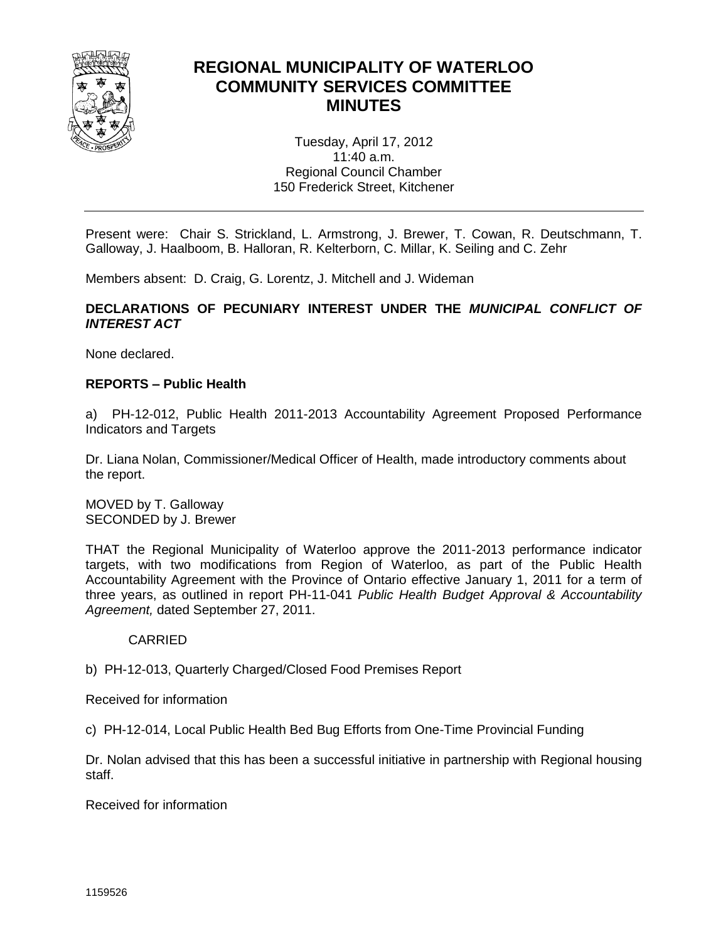

# **REGIONAL MUNICIPALITY OF WATERLOO COMMUNITY SERVICES COMMITTEE MINUTES**

Tuesday, April 17, 2012 11:40 a.m. Regional Council Chamber 150 Frederick Street, Kitchener

Present were: Chair S. Strickland, L. Armstrong, J. Brewer, T. Cowan, R. Deutschmann, T. Galloway, J. Haalboom, B. Halloran, R. Kelterborn, C. Millar, K. Seiling and C. Zehr

Members absent: D. Craig, G. Lorentz, J. Mitchell and J. Wideman

## **DECLARATIONS OF PECUNIARY INTEREST UNDER THE** *MUNICIPAL CONFLICT OF INTEREST ACT*

None declared.

## **REPORTS – Public Health**

a) PH-12-012, Public Health 2011-2013 Accountability Agreement Proposed Performance Indicators and Targets

Dr. Liana Nolan, Commissioner/Medical Officer of Health, made introductory comments about the report.

MOVED by T. Galloway SECONDED by J. Brewer

THAT the Regional Municipality of Waterloo approve the 2011-2013 performance indicator targets, with two modifications from Region of Waterloo, as part of the Public Health Accountability Agreement with the Province of Ontario effective January 1, 2011 for a term of three years, as outlined in report PH-11-041 *Public Health Budget Approval & Accountability Agreement,* dated September 27, 2011.

## CARRIED

b) PH-12-013, Quarterly Charged/Closed Food Premises Report

Received for information

c) PH-12-014, Local Public Health Bed Bug Efforts from One-Time Provincial Funding

Dr. Nolan advised that this has been a successful initiative in partnership with Regional housing staff.

Received for information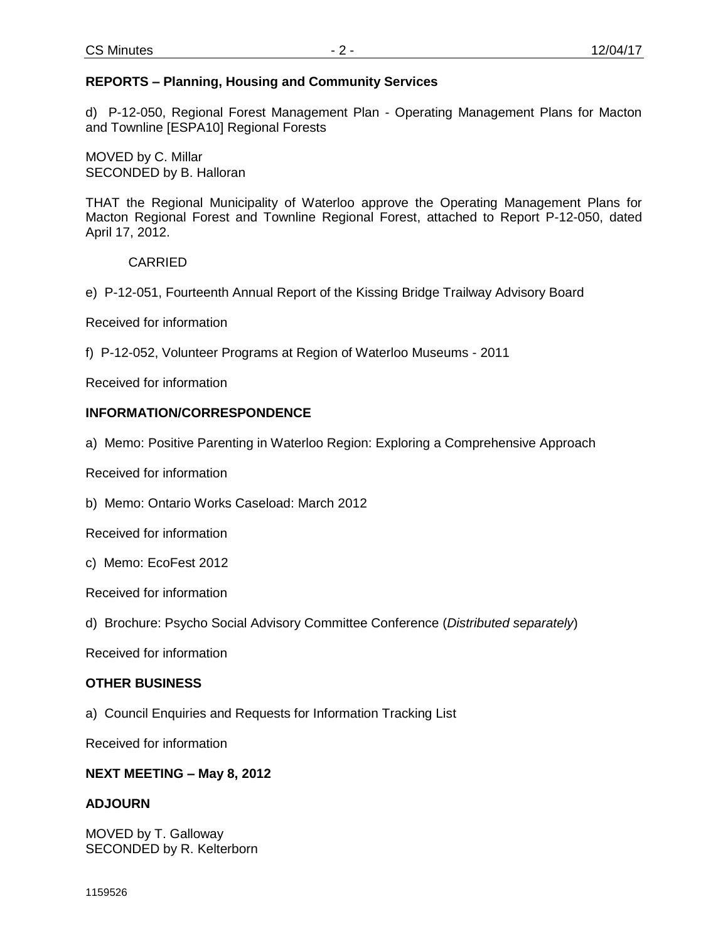## **REPORTS – Planning, Housing and Community Services**

d) P-12-050, Regional Forest Management Plan - Operating Management Plans for Macton and Townline [ESPA10] Regional Forests

MOVED by C. Millar SECONDED by B. Halloran

THAT the Regional Municipality of Waterloo approve the Operating Management Plans for Macton Regional Forest and Townline Regional Forest, attached to Report P-12-050, dated April 17, 2012.

CARRIED

e) P-12-051, Fourteenth Annual Report of the Kissing Bridge Trailway Advisory Board

Received for information

f) P-12-052, Volunteer Programs at Region of Waterloo Museums - 2011

Received for information

## **INFORMATION/CORRESPONDENCE**

a) Memo: Positive Parenting in Waterloo Region: Exploring a Comprehensive Approach

Received for information

b) Memo: Ontario Works Caseload: March 2012

Received for information

c) Memo: EcoFest 2012

Received for information

d) Brochure: Psycho Social Advisory Committee Conference (*Distributed separately*)

Received for information

## **OTHER BUSINESS**

a) Council Enquiries and Requests for Information Tracking List

Received for information

## **NEXT MEETING – May 8, 2012**

## **ADJOURN**

MOVED by T. Galloway SECONDED by R. Kelterborn